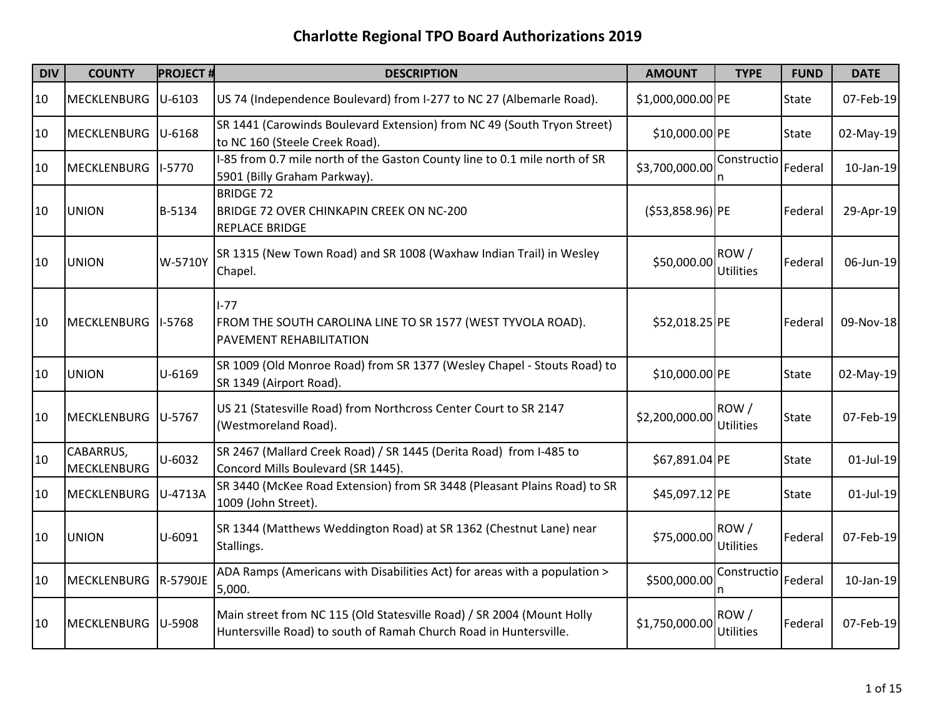| <b>DIV</b> | <b>COUNTY</b>            | <b>PROJECT#</b> | <b>DESCRIPTION</b>                                                                                                                         | <b>AMOUNT</b>      | <b>TYPE</b>              | <b>FUND</b>  | <b>DATE</b>  |
|------------|--------------------------|-----------------|--------------------------------------------------------------------------------------------------------------------------------------------|--------------------|--------------------------|--------------|--------------|
| 10         | <b>MECKLENBURG</b>       | $U - 6103$      | US 74 (Independence Boulevard) from I-277 to NC 27 (Albemarle Road).                                                                       | \$1,000,000.00 PE  |                          | <b>State</b> | 07-Feb-19    |
| 10         | <b>MECKLENBURG</b>       | $U-6168$        | SR 1441 (Carowinds Boulevard Extension) from NC 49 (South Tryon Street)<br>to NC 160 (Steele Creek Road).                                  | \$10,000.00 PE     |                          | State        | 02-May-19    |
| 10         | <b>MECKLENBURG</b>       | I-5770          | I-85 from 0.7 mile north of the Gaston County line to 0.1 mile north of SR<br>5901 (Billy Graham Parkway).                                 | \$3,700,000.00     | Constructio              | Federal      | $10$ -Jan-19 |
| 10         | <b>UNION</b>             | B-5134          | <b>BRIDGE 72</b><br>BRIDGE 72 OVER CHINKAPIN CREEK ON NC-200<br><b>REPLACE BRIDGE</b>                                                      | $( $53,858.96)$ PE |                          | Federal      | 29-Apr-19    |
| 10         | <b>UNION</b>             | W-5710Y         | SR 1315 (New Town Road) and SR 1008 (Waxhaw Indian Trail) in Wesley<br>Chapel.                                                             | \$50,000.00        | ROW/<br><b>Utilities</b> | Federal      | 06-Jun-19    |
| 10         | <b>MECKLENBURG</b>       | $I-5768$        | $I-77$<br>FROM THE SOUTH CAROLINA LINE TO SR 1577 (WEST TYVOLA ROAD).<br>PAVEMENT REHABILITATION                                           | \$52,018.25 PE     |                          | Federal      | 09-Nov-18    |
| 10         | <b>UNION</b>             | U-6169          | SR 1009 (Old Monroe Road) from SR 1377 (Wesley Chapel - Stouts Road) to<br>SR 1349 (Airport Road).                                         | \$10,000.00 PE     |                          | State        | 02-May-19    |
| 10         | <b>MECKLENBURG</b>       | U-5767          | US 21 (Statesville Road) from Northcross Center Court to SR 2147<br>(Westmoreland Road).                                                   | \$2,200,000.00     | ROW/<br>Utilities        | <b>State</b> | 07-Feb-19    |
| 10         | CABARRUS,<br>MECKLENBURG | $U - 6032$      | SR 2467 (Mallard Creek Road) / SR 1445 (Derita Road) from I-485 to<br>Concord Mills Boulevard (SR 1445).                                   | \$67,891.04 PE     |                          | <b>State</b> | $01$ -Jul-19 |
| 10         | <b>MECKLENBURG</b>       | U-4713A         | SR 3440 (McKee Road Extension) from SR 3448 (Pleasant Plains Road) to SR<br>1009 (John Street).                                            | \$45,097.12 PE     |                          | <b>State</b> | $01$ -Jul-19 |
| 10         | <b>UNION</b>             | U-6091          | SR 1344 (Matthews Weddington Road) at SR 1362 (Chestnut Lane) near<br>Stallings.                                                           | \$75,000.00        | ROW/<br>Utilities        | Federal      | 07-Feb-19    |
| 10         | <b>MECKLENBURG</b>       | R-5790JE        | ADA Ramps (Americans with Disabilities Act) for areas with a population ><br>5,000.                                                        | \$500,000.00       | Constructio<br>ın        | Federal      | $10$ -Jan-19 |
| 10         | <b>MECKLENBURG</b>       | U-5908          | Main street from NC 115 (Old Statesville Road) / SR 2004 (Mount Holly<br>Huntersville Road) to south of Ramah Church Road in Huntersville. | \$1,750,000.00     | ROW/<br>Utilities        | Federal      | 07-Feb-19    |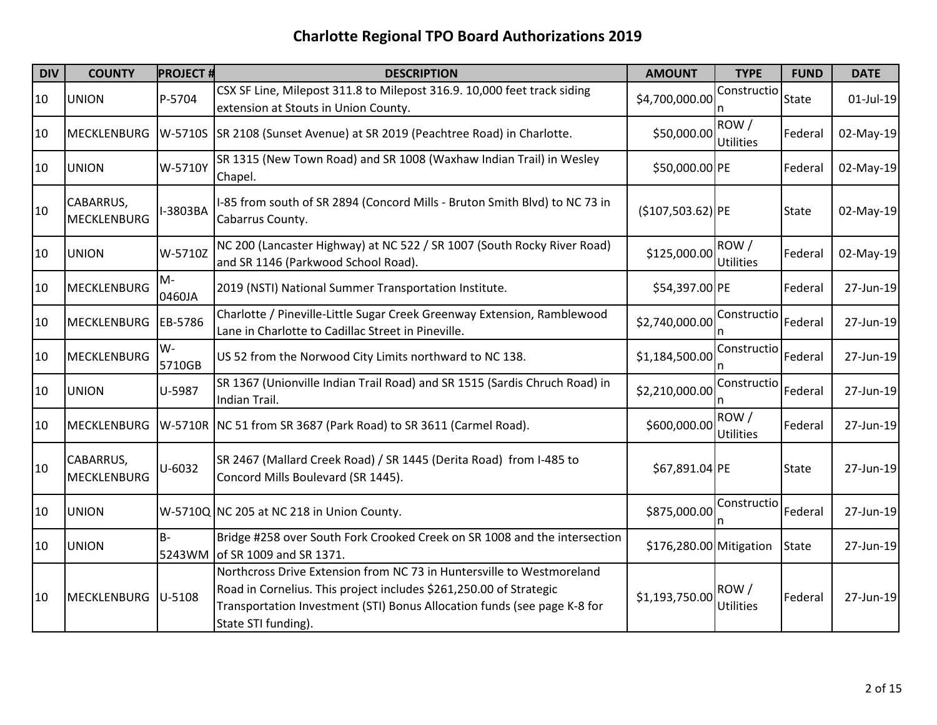| <b>DIV</b> | <b>COUNTY</b>                   | <b>PROJECT#</b> | <b>DESCRIPTION</b>                                                                                                                                                                                                                             | <b>AMOUNT</b>           | <b>TYPE</b>              | <b>FUND</b>  | <b>DATE</b>  |
|------------|---------------------------------|-----------------|------------------------------------------------------------------------------------------------------------------------------------------------------------------------------------------------------------------------------------------------|-------------------------|--------------------------|--------------|--------------|
| 10         | <b>UNION</b>                    | P-5704          | CSX SF Line, Milepost 311.8 to Milepost 316.9. 10,000 feet track siding<br>extension at Stouts in Union County.                                                                                                                                | \$4,700,000.00          | Constructio              | <b>State</b> | $01$ -Jul-19 |
| 10         | <b>MECKLENBURG</b>              | W-5710S         | SR 2108 (Sunset Avenue) at SR 2019 (Peachtree Road) in Charlotte.                                                                                                                                                                              | \$50,000.00             | ROW/<br><b>Utilities</b> | Federal      | 02-May-19    |
| 10         | <b>UNION</b>                    | W-5710Y         | SR 1315 (New Town Road) and SR 1008 (Waxhaw Indian Trail) in Wesley<br>Chapel.                                                                                                                                                                 | \$50,000.00 PE          |                          | Federal      | 02-May-19    |
| 10         | CABARRUS,<br><b>MECKLENBURG</b> | -3803BA         | I-85 from south of SR 2894 (Concord Mills - Bruton Smith Blvd) to NC 73 in<br>Cabarrus County.                                                                                                                                                 | $($107,503.62)$ PE      |                          | <b>State</b> | 02-May-19    |
| 10         | <b>UNION</b>                    | W-5710Z         | NC 200 (Lancaster Highway) at NC 522 / SR 1007 (South Rocky River Road)<br>and SR 1146 (Parkwood School Road).                                                                                                                                 | \$125,000.00            | ROW/<br><b>Utilities</b> | Federal      | 02-May-19    |
| 10         | <b>MECKLENBURG</b>              | $M -$<br>0460JA | 2019 (NSTI) National Summer Transportation Institute.                                                                                                                                                                                          | \$54,397.00 PE          |                          | Federal      | 27-Jun-19    |
| 10         | <b>MECKLENBURG</b>              | EB-5786         | Charlotte / Pineville-Little Sugar Creek Greenway Extension, Ramblewood<br>Lane in Charlotte to Cadillac Street in Pineville.                                                                                                                  | \$2,740,000.00          | Constructio              | Federal      | 27-Jun-19    |
| 10         | <b>MECKLENBURG</b>              | W-<br>5710GB    | US 52 from the Norwood City Limits northward to NC 138.                                                                                                                                                                                        | \$1,184,500.00          | Constructio              | Federal      | 27-Jun-19    |
| 10         | <b>UNION</b>                    | U-5987          | SR 1367 (Unionville Indian Trail Road) and SR 1515 (Sardis Chruch Road) in<br>Indian Trail.                                                                                                                                                    | \$2,210,000.00          | Constructio              | Federal      | 27-Jun-19    |
| 10         | MECKLENBURG                     |                 | W-5710R NC 51 from SR 3687 (Park Road) to SR 3611 (Carmel Road).                                                                                                                                                                               | \$600,000.00            | ROW/<br><b>Utilities</b> | Federal      | 27-Jun-19    |
| 10         | CABARRUS,<br><b>MECKLENBURG</b> | U-6032          | SR 2467 (Mallard Creek Road) / SR 1445 (Derita Road) from I-485 to<br>Concord Mills Boulevard (SR 1445).                                                                                                                                       | \$67,891.04 PE          |                          | <b>State</b> | 27-Jun-19    |
| 10         | <b>UNION</b>                    |                 | W-5710Q NC 205 at NC 218 in Union County.                                                                                                                                                                                                      | \$875,000.00            | Constructio<br>n         | Federal      | 27-Jun-19    |
| 10         | <b>UNION</b>                    | $B -$<br>5243WM | Bridge #258 over South Fork Crooked Creek on SR 1008 and the intersection<br>of SR 1009 and SR 1371.                                                                                                                                           | \$176,280.00 Mitigation |                          | <b>State</b> | 27-Jun-19    |
| 10         | MECKLENBURG                     | U-5108          | Northcross Drive Extension from NC 73 in Huntersville to Westmoreland<br>Road in Cornelius. This project includes \$261,250.00 of Strategic<br>Transportation Investment (STI) Bonus Allocation funds (see page K-8 for<br>State STI funding). | \$1,193,750.00          | ROW/<br><b>Utilities</b> | Federal      | 27-Jun-19    |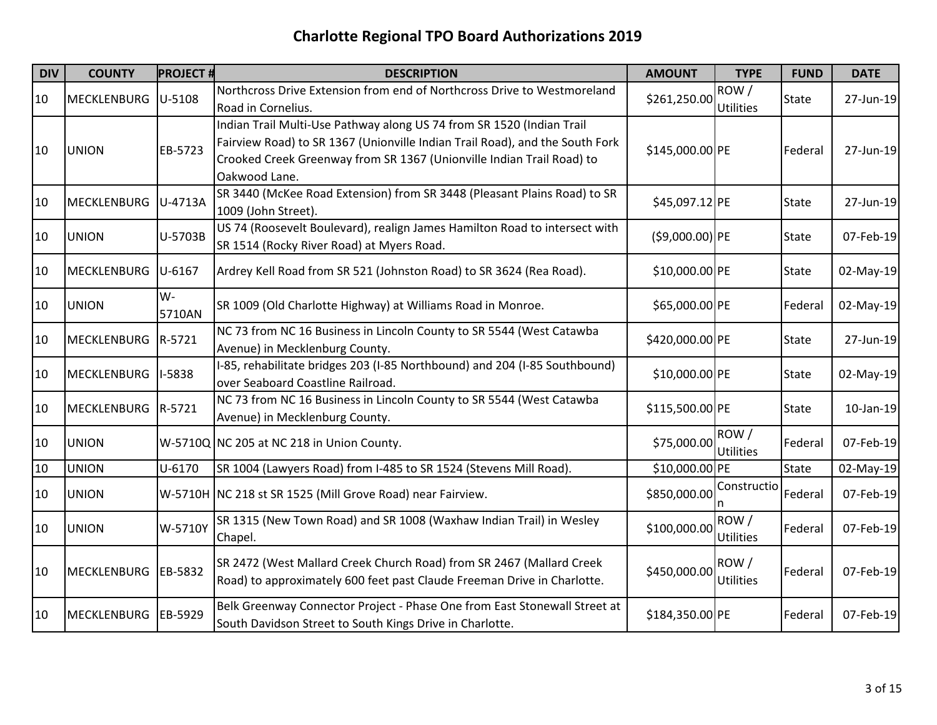| <b>DIV</b> | <b>COUNTY</b>      | <b>PROJECT#</b> | <b>DESCRIPTION</b>                                                                                                                                                                                                                              | <b>AMOUNT</b>     | <b>TYPE</b>              | <b>FUND</b>  | <b>DATE</b> |
|------------|--------------------|-----------------|-------------------------------------------------------------------------------------------------------------------------------------------------------------------------------------------------------------------------------------------------|-------------------|--------------------------|--------------|-------------|
| 10         | <b>MECKLENBURG</b> | U-5108          | Northcross Drive Extension from end of Northcross Drive to Westmoreland<br>Road in Cornelius.                                                                                                                                                   | \$261,250.00      | ROW/<br><b>Utilities</b> | <b>State</b> | 27-Jun-19   |
| 10         | <b>UNION</b>       | EB-5723         | Indian Trail Multi-Use Pathway along US 74 from SR 1520 (Indian Trail<br>Fairview Road) to SR 1367 (Unionville Indian Trail Road), and the South Fork<br>Crooked Creek Greenway from SR 1367 (Unionville Indian Trail Road) to<br>Oakwood Lane. | \$145,000.00 PE   |                          | Federal      | 27-Jun-19   |
| 10         | MECKLENBURG        | U-4713A         | SR 3440 (McKee Road Extension) from SR 3448 (Pleasant Plains Road) to SR<br>1009 (John Street).                                                                                                                                                 | \$45,097.12 PE    |                          | <b>State</b> | 27-Jun-19   |
| 10         | <b>UNION</b>       | U-5703B         | US 74 (Roosevelt Boulevard), realign James Hamilton Road to intersect with<br>SR 1514 (Rocky River Road) at Myers Road.                                                                                                                         | $( $9,000.00)$ PE |                          | <b>State</b> | 07-Feb-19   |
| 10         | <b>MECKLENBURG</b> | U-6167          | Ardrey Kell Road from SR 521 (Johnston Road) to SR 3624 (Rea Road).                                                                                                                                                                             | \$10,000.00 PE    |                          | State        | 02-May-19   |
| 10         | <b>UNION</b>       | W-<br>5710AN    | SR 1009 (Old Charlotte Highway) at Williams Road in Monroe.                                                                                                                                                                                     | \$65,000.00 PE    |                          | Federal      | 02-May-19   |
| 10         | <b>MECKLENBURG</b> | R-5721          | NC 73 from NC 16 Business in Lincoln County to SR 5544 (West Catawba<br>Avenue) in Mecklenburg County.                                                                                                                                          | \$420,000.00 PE   |                          | State        | 27-Jun-19   |
| 10         | <b>MECKLENBURG</b> | <b>I-5838</b>   | I-85, rehabilitate bridges 203 (I-85 Northbound) and 204 (I-85 Southbound)<br>over Seaboard Coastline Railroad.                                                                                                                                 | \$10,000.00 PE    |                          | State        | 02-May-19   |
| 10         | <b>MECKLENBURG</b> | R-5721          | NC 73 from NC 16 Business in Lincoln County to SR 5544 (West Catawba<br>Avenue) in Mecklenburg County.                                                                                                                                          | \$115,500.00 PE   |                          | State        | 10-Jan-19   |
| 10         | <b>UNION</b>       |                 | W-5710Q NC 205 at NC 218 in Union County.                                                                                                                                                                                                       | \$75,000.00       | ROW/<br>Utilities        | Federal      | 07-Feb-19   |
| 10         | <b>UNION</b>       | U-6170          | SR 1004 (Lawyers Road) from I-485 to SR 1524 (Stevens Mill Road).                                                                                                                                                                               | \$10,000.00 PE    |                          | State        | 02-May-19   |
| 10         | <b>UNION</b>       |                 | W-5710H NC 218 st SR 1525 (Mill Grove Road) near Fairview.                                                                                                                                                                                      | \$850,000.00      | Constructio              | Federal      | 07-Feb-19   |
| 10         | <b>UNION</b>       | W-5710Y         | SR 1315 (New Town Road) and SR 1008 (Waxhaw Indian Trail) in Wesley<br>Chapel.                                                                                                                                                                  | \$100,000.00      | ROW/<br><b>Utilities</b> | Federal      | 07-Feb-19   |
| 10         | <b>MECKLENBURG</b> | EB-5832         | SR 2472 (West Mallard Creek Church Road) from SR 2467 (Mallard Creek<br>Road) to approximately 600 feet past Claude Freeman Drive in Charlotte.                                                                                                 | \$450,000.00      | ROW/<br><b>Utilities</b> | Federal      | 07-Feb-19   |
| 10         | <b>MECKLENBURG</b> | EB-5929         | Belk Greenway Connector Project - Phase One from East Stonewall Street at<br>South Davidson Street to South Kings Drive in Charlotte.                                                                                                           | \$184,350.00 PE   |                          | Federal      | 07-Feb-19   |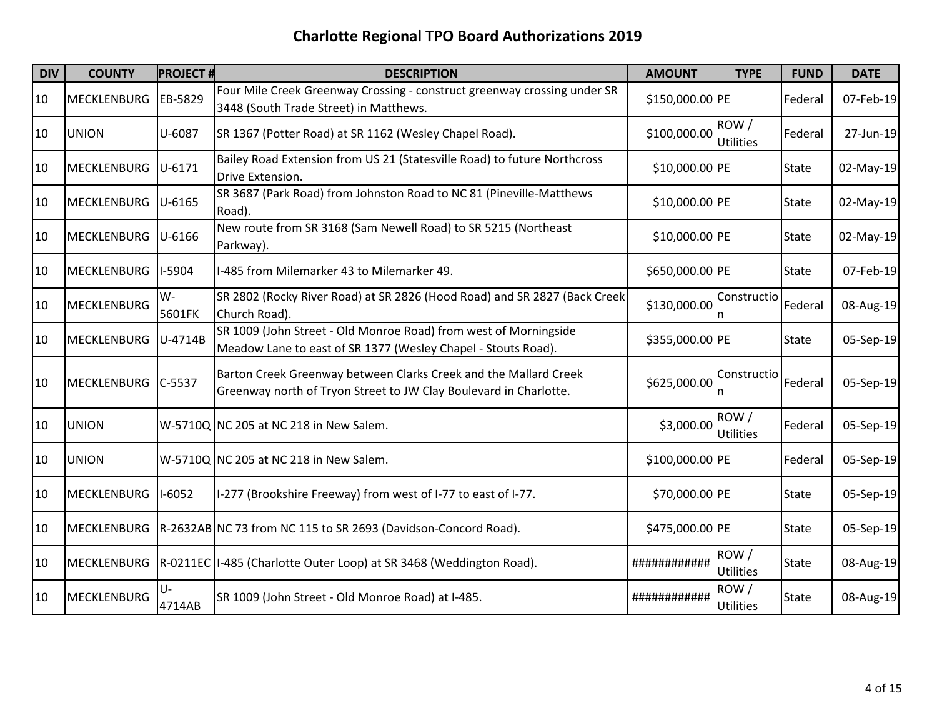| <b>DIV</b> | <b>COUNTY</b>      | <b>PROJECT#</b> | <b>DESCRIPTION</b>                                                                                                                    | <b>AMOUNT</b>   | <b>TYPE</b>              | <b>FUND</b>  | <b>DATE</b> |
|------------|--------------------|-----------------|---------------------------------------------------------------------------------------------------------------------------------------|-----------------|--------------------------|--------------|-------------|
| 10         | <b>MECKLENBURG</b> | EB-5829         | Four Mile Creek Greenway Crossing - construct greenway crossing under SR<br>3448 (South Trade Street) in Matthews.                    | \$150,000.00 PE |                          | Federal      | 07-Feb-19   |
| 10         | <b>UNION</b>       | U-6087          | SR 1367 (Potter Road) at SR 1162 (Wesley Chapel Road).                                                                                | \$100,000.00    | ROW/<br><b>Utilities</b> | Federal      | 27-Jun-19   |
| 10         | MECKLENBURG        | $U - 6171$      | Bailey Road Extension from US 21 (Statesville Road) to future Northcross<br>Drive Extension.                                          | \$10,000.00 PE  |                          | <b>State</b> | 02-May-19   |
| 10         | <b>MECKLENBURG</b> | $ U - 6165 $    | SR 3687 (Park Road) from Johnston Road to NC 81 (Pineville-Matthews<br>Road).                                                         | \$10,000.00 PE  |                          | <b>State</b> | 02-May-19   |
| 10         | MECKLENBURG        | $U-6166$        | New route from SR 3168 (Sam Newell Road) to SR 5215 (Northeast<br>Parkway).                                                           | \$10,000.00 PE  |                          | <b>State</b> | 02-May-19   |
| 10         | <b>MECKLENBURG</b> | I-5904          | I-485 from Milemarker 43 to Milemarker 49.                                                                                            | \$650,000.00 PE |                          | <b>State</b> | 07-Feb-19   |
| 10         | <b>MECKLENBURG</b> | W-<br>5601FK    | SR 2802 (Rocky River Road) at SR 2826 (Hood Road) and SR 2827 (Back Creek<br>Church Road).                                            | \$130,000.00    | Constructio<br>n         | Federal      | 08-Aug-19   |
| 10         | MECKLENBURG        | U-4714B         | SR 1009 (John Street - Old Monroe Road) from west of Morningside<br>Meadow Lane to east of SR 1377 (Wesley Chapel - Stouts Road).     | \$355,000.00 PE |                          | <b>State</b> | 05-Sep-19   |
| 10         | MECKLENBURG C-5537 |                 | Barton Creek Greenway between Clarks Creek and the Mallard Creek<br>Greenway north of Tryon Street to JW Clay Boulevard in Charlotte. | \$625,000.00    | Constructio              | Federal      | 05-Sep-19   |
| 10         | <b>UNION</b>       |                 | W-5710Q NC 205 at NC 218 in New Salem.                                                                                                | \$3,000.00      | ROW/<br><b>Utilities</b> | Federal      | 05-Sep-19   |
| 10         | <b>UNION</b>       |                 | W-5710Q NC 205 at NC 218 in New Salem.                                                                                                | \$100,000.00 PE |                          | Federal      | 05-Sep-19   |
| 10         | <b>MECKLENBURG</b> | $I-6052$        | I-277 (Brookshire Freeway) from west of I-77 to east of I-77.                                                                         | \$70,000.00 PE  |                          | <b>State</b> | 05-Sep-19   |
| 10         | <b>MECKLENBURG</b> |                 | R-2632AB NC 73 from NC 115 to SR 2693 (Davidson-Concord Road).                                                                        | \$475,000.00 PE |                          | <b>State</b> | 05-Sep-19   |
| 10         |                    |                 | MECKLENBURG   R-0211EC   I-485 (Charlotte Outer Loop) at SR 3468 (Weddington Road).                                                   | ############    | ROW/<br>Utilities        | <b>State</b> | 08-Aug-19   |
| 10         | <b>MECKLENBURG</b> | U-<br>4714AB    | SR 1009 (John Street - Old Monroe Road) at I-485.                                                                                     | ############    | ROW/<br>Utilities        | <b>State</b> | 08-Aug-19   |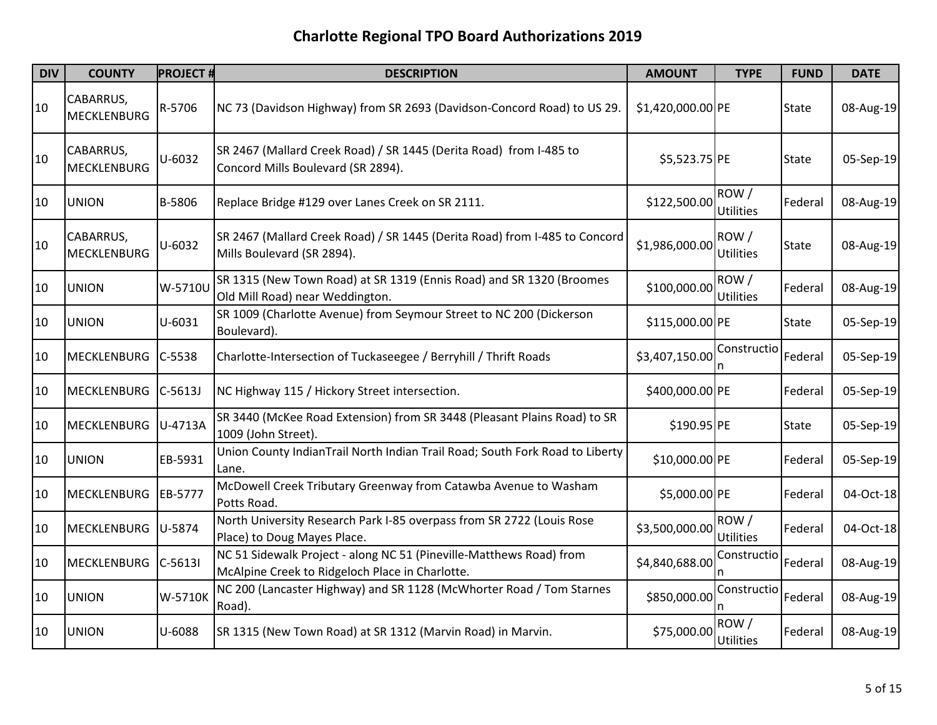| <b>DIV</b> | <b>COUNTY</b>            | <b>PROJECT#</b> | <b>DESCRIPTION</b>                                                                                                     | <b>AMOUNT</b>     | <b>TYPE</b>              | <b>FUND</b>  | <b>DATE</b> |
|------------|--------------------------|-----------------|------------------------------------------------------------------------------------------------------------------------|-------------------|--------------------------|--------------|-------------|
| 10         | CABARRUS,<br>MECKLENBURG | R-5706          | NC 73 (Davidson Highway) from SR 2693 (Davidson-Concord Road) to US 29.                                                | \$1,420,000.00 PE |                          | <b>State</b> | 08-Aug-19   |
| 10         | CABARRUS,<br>MECKLENBURG | U-6032          | SR 2467 (Mallard Creek Road) / SR 1445 (Derita Road) from I-485 to<br>Concord Mills Boulevard (SR 2894).               | \$5,523.75 PE     |                          | <b>State</b> | 05-Sep-19   |
| 10         | <b>UNION</b>             | B-5806          | Replace Bridge #129 over Lanes Creek on SR 2111.                                                                       | \$122,500.00      | ROW/<br><b>Utilities</b> | Federal      | 08-Aug-19   |
| 10         | CABARRUS,<br>MECKLENBURG | U-6032          | SR 2467 (Mallard Creek Road) / SR 1445 (Derita Road) from I-485 to Concord<br>Mills Boulevard (SR 2894).               | \$1,986,000.00    | ROW/<br>Utilities        | <b>State</b> | 08-Aug-19   |
| 10         | <b>UNION</b>             | W-5710U         | SR 1315 (New Town Road) at SR 1319 (Ennis Road) and SR 1320 (Broomes<br>Old Mill Road) near Weddington.                | \$100,000.00      | ROW/<br><b>Utilities</b> | Federal      | 08-Aug-19   |
| 10         | <b>UNION</b>             | $U - 6031$      | SR 1009 (Charlotte Avenue) from Seymour Street to NC 200 (Dickerson<br>Boulevard).                                     | \$115,000.00 PE   |                          | <b>State</b> | 05-Sep-19   |
| 10         | MECKLENBURG              | C-5538          | Charlotte-Intersection of Tuckaseegee / Berryhill / Thrift Roads                                                       | \$3,407,150.00    | Constructio              | Federal      | 05-Sep-19   |
| 10         | MECKLENBURG              | $C-5613J$       | NC Highway 115 / Hickory Street intersection.                                                                          | \$400,000.00 PE   |                          | Federal      | 05-Sep-19   |
| 10         | <b>MECKLENBURG</b>       | U-4713A         | SR 3440 (McKee Road Extension) from SR 3448 (Pleasant Plains Road) to SR<br>1009 (John Street).                        | \$190.95 PE       |                          | <b>State</b> | 05-Sep-19   |
| 10         | <b>UNION</b>             | EB-5931         | Union County IndianTrail North Indian Trail Road; South Fork Road to Liberty<br>Lane.                                  | \$10,000.00 PE    |                          | Federal      | 05-Sep-19   |
| 10         | <b>MECKLENBURG</b>       | EB-5777         | McDowell Creek Tributary Greenway from Catawba Avenue to Washam<br>Potts Road.                                         | \$5,000.00 PE     |                          | Federal      | 04-Oct-18   |
| 10         | MECKLENBURG              | U-5874          | North University Research Park I-85 overpass from SR 2722 (Louis Rose<br>Place) to Doug Mayes Place.                   | \$3,500,000.00    | ROW/<br><b>Utilities</b> | Federal      | 04-Oct-18   |
| 10         | MECKLENBURG              | $C-5613I$       | NC 51 Sidewalk Project - along NC 51 (Pineville-Matthews Road) from<br>McAlpine Creek to Ridgeloch Place in Charlotte. | \$4,840,688.00    | Constructio              | Federal      | 08-Aug-19   |
| 10         | <b>UNION</b>             | W-5710K         | NC 200 (Lancaster Highway) and SR 1128 (McWhorter Road / Tom Starnes<br>Road).                                         | \$850,000.00      | Constructio              | Federal      | 08-Aug-19   |
| 10         | <b>UNION</b>             | U-6088          | SR 1315 (New Town Road) at SR 1312 (Marvin Road) in Marvin.                                                            | \$75,000.00       | ROW/<br>Utilities        | Federal      | 08-Aug-19   |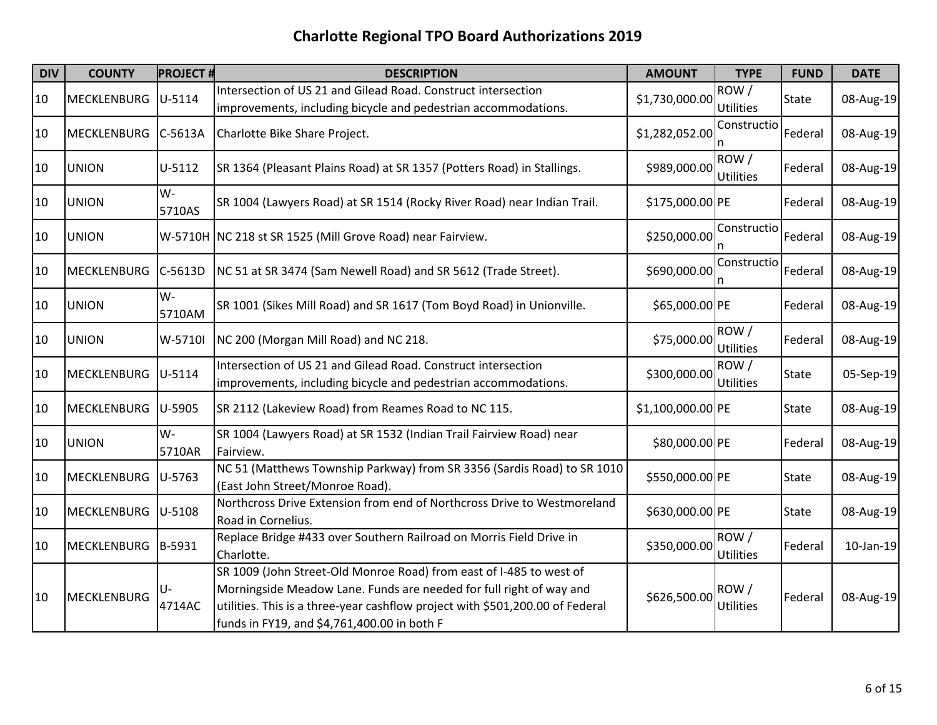| <b>DIV</b> | <b>COUNTY</b>      | <b>PROJECT#</b> | <b>DESCRIPTION</b>                                                                                                                                                                                                                                                         | <b>AMOUNT</b>     | <b>TYPE</b>              | <b>FUND</b>  | <b>DATE</b>  |
|------------|--------------------|-----------------|----------------------------------------------------------------------------------------------------------------------------------------------------------------------------------------------------------------------------------------------------------------------------|-------------------|--------------------------|--------------|--------------|
| 10         | <b>MECKLENBURG</b> | U-5114          | Intersection of US 21 and Gilead Road. Construct intersection<br>improvements, including bicycle and pedestrian accommodations.                                                                                                                                            | \$1,730,000.00    | ROW/<br>Utilities        | <b>State</b> | 08-Aug-19    |
| 10         | <b>MECKLENBURG</b> | $C-5613A$       | Charlotte Bike Share Project.                                                                                                                                                                                                                                              | \$1,282,052.00    | Constructio              | Federal      | 08-Aug-19    |
| 10         | <b>UNION</b>       | U-5112          | SR 1364 (Pleasant Plains Road) at SR 1357 (Potters Road) in Stallings.                                                                                                                                                                                                     | \$989,000.00      | ROW/<br><b>Utilities</b> | Federal      | 08-Aug-19    |
| 10         | <b>UNION</b>       | W-<br>5710AS    | SR 1004 (Lawyers Road) at SR 1514 (Rocky River Road) near Indian Trail.                                                                                                                                                                                                    | \$175,000.00 PE   |                          | Federal      | 08-Aug-19    |
| 10         | <b>UNION</b>       |                 | W-5710H NC 218 st SR 1525 (Mill Grove Road) near Fairview.                                                                                                                                                                                                                 | \$250,000.00      | Constructio              | Federal      | 08-Aug-19    |
| 10         | <b>MECKLENBURG</b> | $C-5613D$       | NC 51 at SR 3474 (Sam Newell Road) and SR 5612 (Trade Street).                                                                                                                                                                                                             | \$690,000.00      | Constructio              | Federal      | 08-Aug-19    |
| 10         | <b>UNION</b>       | W-<br>5710AM    | SR 1001 (Sikes Mill Road) and SR 1617 (Tom Boyd Road) in Unionville.                                                                                                                                                                                                       | \$65,000.00 PE    |                          | Federal      | 08-Aug-19    |
| 10         | <b>UNION</b>       | W-5710I         | NC 200 (Morgan Mill Road) and NC 218.                                                                                                                                                                                                                                      | \$75,000.00       | ROW/<br>Utilities        | Federal      | 08-Aug-19    |
| 10         | <b>MECKLENBURG</b> | $U-5114$        | Intersection of US 21 and Gilead Road. Construct intersection<br>improvements, including bicycle and pedestrian accommodations.                                                                                                                                            | \$300,000.00      | ROW/<br><b>Utilities</b> | <b>State</b> | 05-Sep-19    |
| 10         | <b>MECKLENBURG</b> | U-5905          | SR 2112 (Lakeview Road) from Reames Road to NC 115.                                                                                                                                                                                                                        | \$1,100,000.00 PE |                          | <b>State</b> | 08-Aug-19    |
| 10         | <b>UNION</b>       | W-<br>5710AR    | SR 1004 (Lawyers Road) at SR 1532 (Indian Trail Fairview Road) near<br>Fairview.                                                                                                                                                                                           | \$80,000.00 PE    |                          | Federal      | 08-Aug-19    |
| 10         | <b>MECKLENBURG</b> | U-5763          | NC 51 (Matthews Township Parkway) from SR 3356 (Sardis Road) to SR 1010<br>(East John Street/Monroe Road).                                                                                                                                                                 | \$550,000.00 PE   |                          | <b>State</b> | 08-Aug-19    |
| 10         | <b>MECKLENBURG</b> | $U-5108$        | Northcross Drive Extension from end of Northcross Drive to Westmoreland<br>Road in Cornelius.                                                                                                                                                                              | \$630,000.00 PE   |                          | <b>State</b> | 08-Aug-19    |
| 10         | <b>MECKLENBURG</b> | B-5931          | Replace Bridge #433 over Southern Railroad on Morris Field Drive in<br>Charlotte.                                                                                                                                                                                          | \$350,000.00      | ROW/<br>Utilities        | Federal      | $10$ -Jan-19 |
| 10         | MECKLENBURG        | 4714AC          | SR 1009 (John Street-Old Monroe Road) from east of I-485 to west of<br>Morningside Meadow Lane. Funds are needed for full right of way and<br>utilities. This is a three-year cashflow project with \$501,200.00 of Federal<br>funds in FY19, and \$4,761,400.00 in both F | \$626,500.00      | ROW/<br><b>Utilities</b> | Federal      | 08-Aug-19    |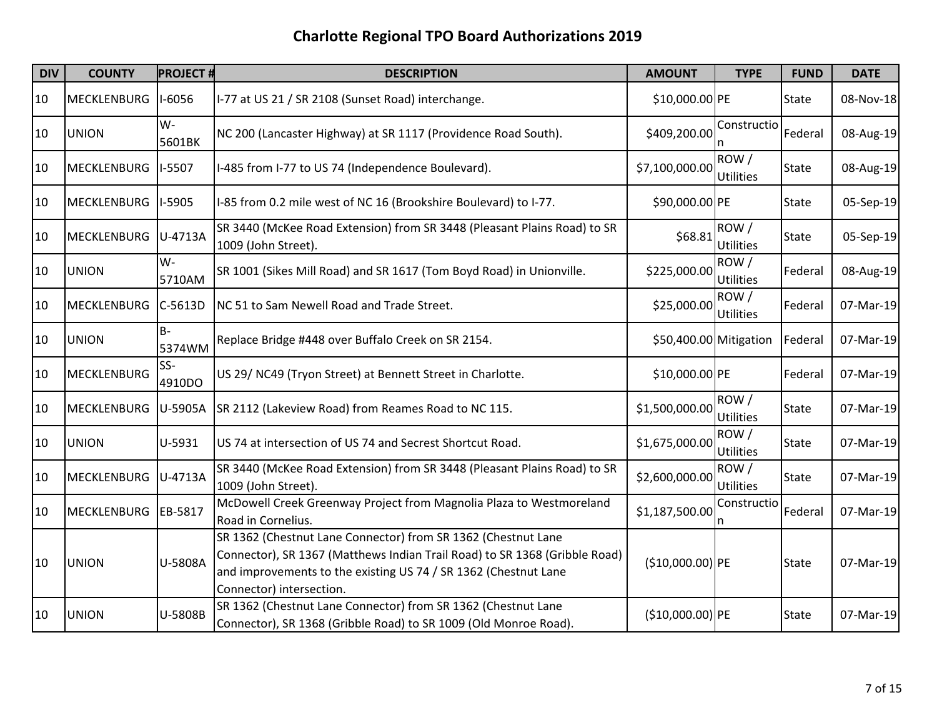| <b>DIV</b> | <b>COUNTY</b>      | <b>PROJECT#</b> | <b>DESCRIPTION</b>                                                                                                                                                                                                                         | <b>AMOUNT</b>          | <b>TYPE</b>              | <b>FUND</b>  | <b>DATE</b> |
|------------|--------------------|-----------------|--------------------------------------------------------------------------------------------------------------------------------------------------------------------------------------------------------------------------------------------|------------------------|--------------------------|--------------|-------------|
| 10         | <b>MECKLENBURG</b> | $1-6056$        | I-77 at US 21 / SR 2108 (Sunset Road) interchange.                                                                                                                                                                                         | \$10,000.00 PE         |                          | State        | 08-Nov-18   |
| 10         | <b>UNION</b>       | $W -$<br>5601BK | NC 200 (Lancaster Highway) at SR 1117 (Providence Road South).                                                                                                                                                                             | \$409,200.00           | Constructio              | Federal      | 08-Aug-19   |
| 10         | <b>MECKLENBURG</b> | I-5507          | I-485 from I-77 to US 74 (Independence Boulevard).                                                                                                                                                                                         | \$7,100,000.00         | ROW/<br><b>Utilities</b> | <b>State</b> | 08-Aug-19   |
| 10         | <b>MECKLENBURG</b> | <b>I-5905</b>   | I-85 from 0.2 mile west of NC 16 (Brookshire Boulevard) to I-77.                                                                                                                                                                           | \$90,000.00 PE         |                          | <b>State</b> | 05-Sep-19   |
| 10         | <b>MECKLENBURG</b> | U-4713A         | SR 3440 (McKee Road Extension) from SR 3448 (Pleasant Plains Road) to SR<br>1009 (John Street).                                                                                                                                            | \$68.81                | ROW/<br>Utilities        | <b>State</b> | 05-Sep-19   |
| 10         | <b>UNION</b>       | $W -$<br>5710AM | SR 1001 (Sikes Mill Road) and SR 1617 (Tom Boyd Road) in Unionville.                                                                                                                                                                       | \$225,000.00           | ROW/<br>Utilities        | Federal      | 08-Aug-19   |
| 10         | <b>MECKLENBURG</b> | $C-5613D$       | NC 51 to Sam Newell Road and Trade Street.                                                                                                                                                                                                 | \$25,000.00            | ROW/<br>Utilities        | Federal      | 07-Mar-19   |
| 10         | <b>UNION</b>       | $B -$<br>5374WM | Replace Bridge #448 over Buffalo Creek on SR 2154.                                                                                                                                                                                         | \$50,400.00 Mitigation |                          | Federal      | 07-Mar-19   |
| 10         | MECKLENBURG        | SS-<br>4910DO   | US 29/ NC49 (Tryon Street) at Bennett Street in Charlotte.                                                                                                                                                                                 | \$10,000.00 PE         |                          | Federal      | 07-Mar-19   |
| 10         | MECKLENBURG        | U-5905A         | SR 2112 (Lakeview Road) from Reames Road to NC 115.                                                                                                                                                                                        | \$1,500,000.00         | ROW/<br><b>Utilities</b> | State        | 07-Mar-19   |
| 10         | <b>UNION</b>       | U-5931          | US 74 at intersection of US 74 and Secrest Shortcut Road.                                                                                                                                                                                  | \$1,675,000.00         | ROW/<br><b>Utilities</b> | <b>State</b> | 07-Mar-19   |
| 10         | <b>MECKLENBURG</b> | U-4713A         | SR 3440 (McKee Road Extension) from SR 3448 (Pleasant Plains Road) to SR<br>1009 (John Street).                                                                                                                                            | \$2,600,000.00         | ROW/<br><b>Utilities</b> | <b>State</b> | 07-Mar-19   |
| 10         | MECKLENBURG        | EB-5817         | McDowell Creek Greenway Project from Magnolia Plaza to Westmoreland<br>Road in Cornelius.                                                                                                                                                  | \$1,187,500.00         | Constructio<br>n         | Federal      | 07-Mar-19   |
| 10         | <b>UNION</b>       | U-5808A         | SR 1362 (Chestnut Lane Connector) from SR 1362 (Chestnut Lane<br>Connector), SR 1367 (Matthews Indian Trail Road) to SR 1368 (Gribble Road)<br>and improvements to the existing US 74 / SR 1362 (Chestnut Lane<br>Connector) intersection. | $($10,000.00)$ PE      |                          | State        | 07-Mar-19   |
| 10         | <b>UNION</b>       | U-5808B         | SR 1362 (Chestnut Lane Connector) from SR 1362 (Chestnut Lane<br>Connector), SR 1368 (Gribble Road) to SR 1009 (Old Monroe Road).                                                                                                          | $($10,000.00)$ PE      |                          | <b>State</b> | 07-Mar-19   |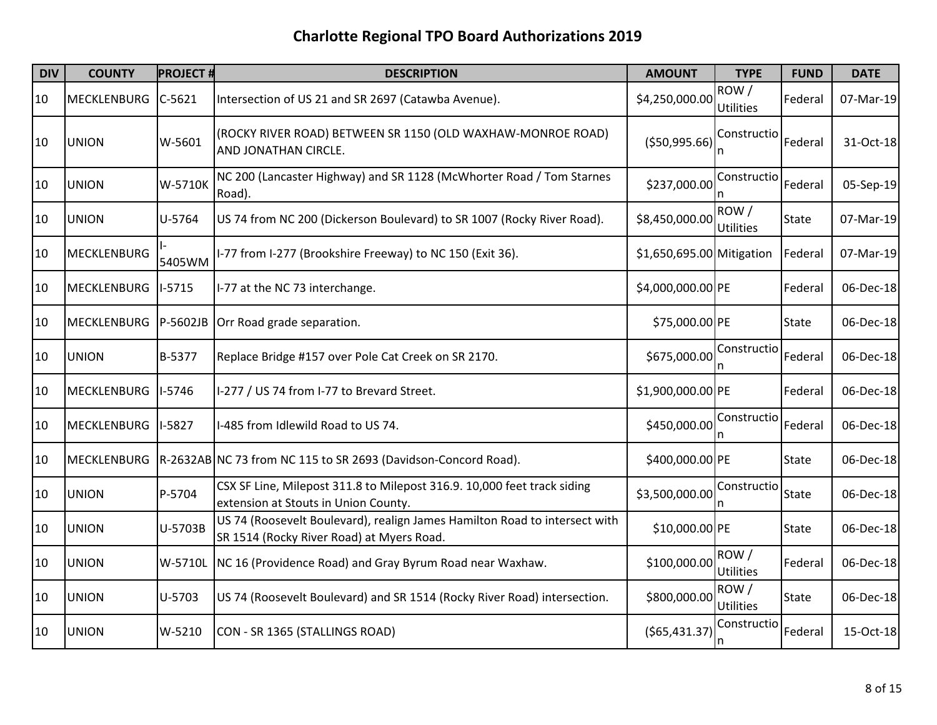| <b>DIV</b> | <b>COUNTY</b>      | <b>PROJECT#</b> | <b>DESCRIPTION</b>                                                                                                      | <b>AMOUNT</b>             | <b>TYPE</b>              | <b>FUND</b>  | <b>DATE</b> |
|------------|--------------------|-----------------|-------------------------------------------------------------------------------------------------------------------------|---------------------------|--------------------------|--------------|-------------|
| 10         | MECKLENBURG        | $C-5621$        | Intersection of US 21 and SR 2697 (Catawba Avenue).                                                                     | \$4,250,000.00            | ROW/<br>Utilities        | Federal      | 07-Mar-19   |
| 10         | <b>UNION</b>       | W-5601          | (ROCKY RIVER ROAD) BETWEEN SR 1150 (OLD WAXHAW-MONROE ROAD)<br>AND JONATHAN CIRCLE.                                     | ( \$50,995.66)            | Constructio              | Federal      | 31-Oct-18   |
| 10         | <b>UNION</b>       | W-5710K         | NC 200 (Lancaster Highway) and SR 1128 (McWhorter Road / Tom Starnes<br>Road).                                          | \$237,000.00              | Constructio              | Federal      | 05-Sep-19   |
| 10         | <b>UNION</b>       | U-5764          | US 74 from NC 200 (Dickerson Boulevard) to SR 1007 (Rocky River Road).                                                  | \$8,450,000.00            | ROW/<br><b>Utilities</b> | State        | 07-Mar-19   |
| 10         | <b>MECKLENBURG</b> | 5405WM          | I-77 from I-277 (Brookshire Freeway) to NC 150 (Exit 36).                                                               | \$1,650,695.00 Mitigation |                          | Federal      | 07-Mar-19   |
| 10         | <b>MECKLENBURG</b> | $I-5715$        | I-77 at the NC 73 interchange.                                                                                          | \$4,000,000.00 PE         |                          | Federal      | 06-Dec-18   |
| 10         | <b>MECKLENBURG</b> | P-5602JB        | Orr Road grade separation.                                                                                              | \$75,000.00 PE            |                          | <b>State</b> | 06-Dec-18   |
| 10         | <b>UNION</b>       | B-5377          | Replace Bridge #157 over Pole Cat Creek on SR 2170.                                                                     | \$675,000.00              | Constructio              | Federal      | 06-Dec-18   |
| 10         | <b>MECKLENBURG</b> | $1-5746$        | I-277 / US 74 from I-77 to Brevard Street.                                                                              | \$1,900,000.00 PE         |                          | Federal      | 06-Dec-18   |
| 10         | <b>MECKLENBURG</b> | I-5827          | I-485 from Idlewild Road to US 74.                                                                                      | \$450,000.00              | Constructio              | Federal      | 06-Dec-18   |
| 10         | <b>MECKLENBURG</b> |                 | R-2632AB NC 73 from NC 115 to SR 2693 (Davidson-Concord Road).                                                          | \$400,000.00 PE           |                          | <b>State</b> | 06-Dec-18   |
| 10         | <b>UNION</b>       | P-5704          | CSX SF Line, Milepost 311.8 to Milepost 316.9. 10,000 feet track siding<br>extension at Stouts in Union County.         | \$3,500,000.00            | Constructio<br>n         | State        | 06-Dec-18   |
| 10         | <b>UNION</b>       | U-5703B         | US 74 (Roosevelt Boulevard), realign James Hamilton Road to intersect with<br>SR 1514 (Rocky River Road) at Myers Road. | \$10,000.00 PE            |                          | <b>State</b> | 06-Dec-18   |
| 10         | <b>UNION</b>       | W-5710L         | NC 16 (Providence Road) and Gray Byrum Road near Waxhaw.                                                                | \$100,000.00              | ROW/<br>Utilities        | Federal      | 06-Dec-18   |
| 10         | <b>UNION</b>       | U-5703          | US 74 (Roosevelt Boulevard) and SR 1514 (Rocky River Road) intersection.                                                | \$800,000.00              | ROW/<br><b>Utilities</b> | <b>State</b> | 06-Dec-18   |
| 10         | <b>UNION</b>       | W-5210          | CON - SR 1365 (STALLINGS ROAD)                                                                                          | (565, 431.37)             | Constructio              | Federal      | 15-Oct-18   |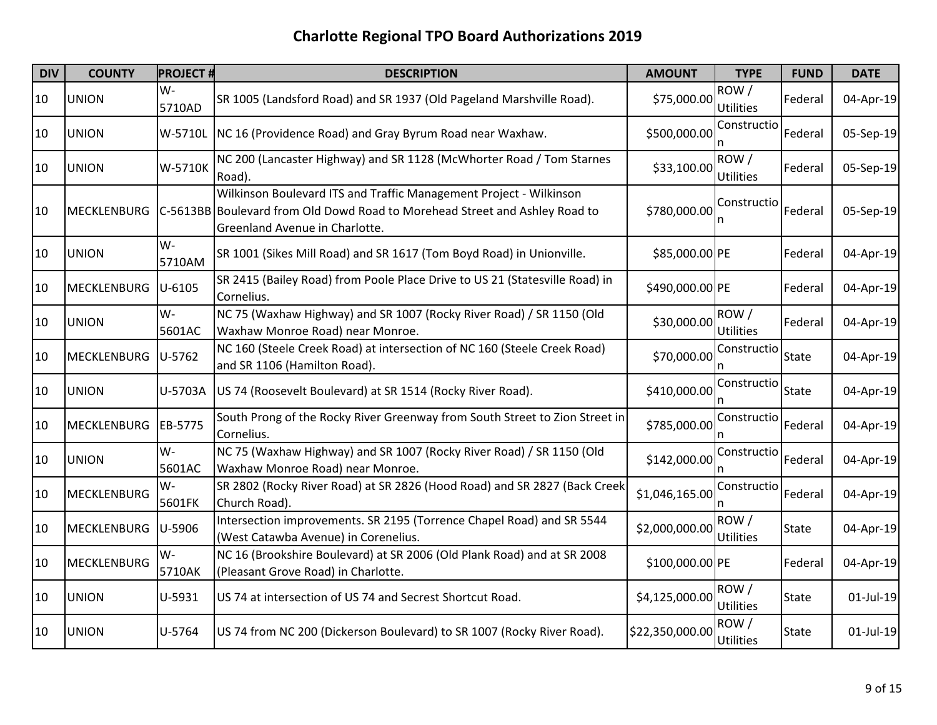| <b>DIV</b> | <b>COUNTY</b>      | <b>PROJECT#</b> | <b>DESCRIPTION</b>                                                                                                                                                                  | <b>AMOUNT</b>   | <b>TYPE</b>              | <b>FUND</b>  | <b>DATE</b>  |
|------------|--------------------|-----------------|-------------------------------------------------------------------------------------------------------------------------------------------------------------------------------------|-----------------|--------------------------|--------------|--------------|
| 10         | <b>UNION</b>       | $W -$<br>5710AD | SR 1005 (Landsford Road) and SR 1937 (Old Pageland Marshville Road).                                                                                                                | \$75,000.00     | ROW/<br>Utilities        | Federal      | 04-Apr-19    |
| 10         | <b>UNION</b>       |                 | W-5710L NC 16 (Providence Road) and Gray Byrum Road near Waxhaw.                                                                                                                    | \$500,000.00    | Constructio              | Federal      | 05-Sep-19    |
| 10         | <b>UNION</b>       | W-5710K         | NC 200 (Lancaster Highway) and SR 1128 (McWhorter Road / Tom Starnes<br>Road).                                                                                                      | \$33,100.00     | ROW/<br><b>Utilities</b> | Federal      | 05-Sep-19    |
| 10         | <b>MECKLENBURG</b> |                 | Wilkinson Boulevard ITS and Traffic Management Project - Wilkinson<br>C-5613BB Boulevard from Old Dowd Road to Morehead Street and Ashley Road to<br>Greenland Avenue in Charlotte. | \$780,000.00    | Constructio              | Federal      | 05-Sep-19    |
| 10         | <b>UNION</b>       | $W -$<br>5710AM | SR 1001 (Sikes Mill Road) and SR 1617 (Tom Boyd Road) in Unionville.                                                                                                                | \$85,000.00 PE  |                          | Federal      | 04-Apr-19    |
| 10         | <b>MECKLENBURG</b> | $U - 6105$      | SR 2415 (Bailey Road) from Poole Place Drive to US 21 (Statesville Road) in<br>Cornelius.                                                                                           | \$490,000.00 PE |                          | Federal      | 04-Apr-19    |
| 10         | <b>UNION</b>       | W-<br>5601AC    | NC 75 (Waxhaw Highway) and SR 1007 (Rocky River Road) / SR 1150 (Old<br>Waxhaw Monroe Road) near Monroe.                                                                            | \$30,000.00     | ROW/<br><b>Utilities</b> | Federal      | 04-Apr-19    |
| 10         | <b>MECKLENBURG</b> | $U-5762$        | NC 160 (Steele Creek Road) at intersection of NC 160 (Steele Creek Road)<br>and SR 1106 (Hamilton Road).                                                                            | \$70,000.00     | Constructio              | <b>State</b> | 04-Apr-19    |
| 10         | <b>UNION</b>       | U-5703A         | US 74 (Roosevelt Boulevard) at SR 1514 (Rocky River Road).                                                                                                                          | \$410,000.00    | Constructio              | <b>State</b> | 04-Apr-19    |
| 10         | <b>MECKLENBURG</b> | EB-5775         | South Prong of the Rocky River Greenway from South Street to Zion Street in<br>Cornelius.                                                                                           | \$785,000.00    | Constructio              | Federal      | 04-Apr-19    |
| 10         | <b>UNION</b>       | W-<br>5601AC    | NC 75 (Waxhaw Highway) and SR 1007 (Rocky River Road) / SR 1150 (Old<br>Waxhaw Monroe Road) near Monroe.                                                                            | \$142,000.00    | Constructio              | Federal      | 04-Apr-19    |
| 10         | <b>MECKLENBURG</b> | W-<br>5601FK    | SR 2802 (Rocky River Road) at SR 2826 (Hood Road) and SR 2827 (Back Creek<br>Church Road).                                                                                          | \$1,046,165.00  | Constructio              | Federal      | 04-Apr-19    |
| 10         | <b>MECKLENBURG</b> | $U-5906$        | Intersection improvements. SR 2195 (Torrence Chapel Road) and SR 5544<br>(West Catawba Avenue) in Corenelius.                                                                       | \$2,000,000.00  | ROW/<br><b>Utilities</b> | <b>State</b> | 04-Apr-19    |
| 10         | <b>MECKLENBURG</b> | $W -$<br>5710AK | NC 16 (Brookshire Boulevard) at SR 2006 (Old Plank Road) and at SR 2008<br>(Pleasant Grove Road) in Charlotte.                                                                      | \$100,000.00 PE |                          | Federal      | 04-Apr-19    |
| 10         | <b>UNION</b>       | U-5931          | US 74 at intersection of US 74 and Secrest Shortcut Road.                                                                                                                           | \$4,125,000.00  | ROW/<br><b>Utilities</b> | <b>State</b> | $01$ -Jul-19 |
| 10         | <b>UNION</b>       | U-5764          | US 74 from NC 200 (Dickerson Boulevard) to SR 1007 (Rocky River Road).                                                                                                              | \$22,350,000.00 | ROW/<br>Utilities        | <b>State</b> | $01$ -Jul-19 |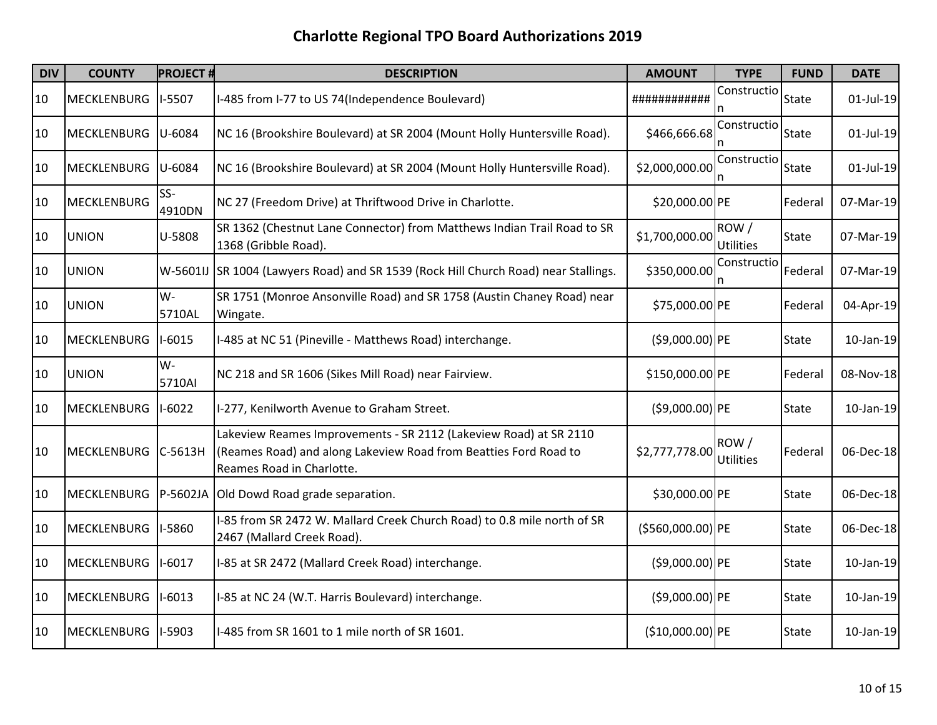| <b>DIV</b> | <b>COUNTY</b>      | <b>PROJECT#</b> | <b>DESCRIPTION</b>                                                                                                                                                 | <b>AMOUNT</b>     | <b>TYPE</b>              | <b>FUND</b>  | <b>DATE</b>  |
|------------|--------------------|-----------------|--------------------------------------------------------------------------------------------------------------------------------------------------------------------|-------------------|--------------------------|--------------|--------------|
| 10         | MECKLENBURG        | I-5507          | I-485 from I-77 to US 74(Independence Boulevard)                                                                                                                   | ############      | Constructio              | <b>State</b> | $01$ -Jul-19 |
| 10         | <b>MECKLENBURG</b> | U-6084          | NC 16 (Brookshire Boulevard) at SR 2004 (Mount Holly Huntersville Road).                                                                                           | \$466,666.68      | Constructio              | State        | 01-Jul-19    |
| 10         | MECKLENBURG        | U-6084          | NC 16 (Brookshire Boulevard) at SR 2004 (Mount Holly Huntersville Road).                                                                                           | \$2,000,000.00    | Constructio<br>n         | <b>State</b> | $01$ -Jul-19 |
| 10         | MECKLENBURG        | SS-<br>4910DN   | NC 27 (Freedom Drive) at Thriftwood Drive in Charlotte.                                                                                                            | \$20,000.00 PE    |                          | Federal      | 07-Mar-19    |
| 10         | <b>UNION</b>       | U-5808          | SR 1362 (Chestnut Lane Connector) from Matthews Indian Trail Road to SR<br>1368 (Gribble Road).                                                                    | \$1,700,000.00    | ROW/<br><b>Utilities</b> | <b>State</b> | 07-Mar-19    |
| 10         | <b>UNION</b>       |                 | W-5601IJ SR 1004 (Lawyers Road) and SR 1539 (Rock Hill Church Road) near Stallings.                                                                                | \$350,000.00      | Constructio              | Federal      | 07-Mar-19    |
| 10         | <b>UNION</b>       | $W -$<br>5710AL | SR 1751 (Monroe Ansonville Road) and SR 1758 (Austin Chaney Road) near<br>Wingate.                                                                                 | \$75,000.00 PE    |                          | Federal      | 04-Apr-19    |
| 10         | MECKLENBURG        | $I-6015$        | I-485 at NC 51 (Pineville - Matthews Road) interchange.                                                                                                            | $( $9,000.00)$ PE |                          | <b>State</b> | $10$ -Jan-19 |
| 10         | <b>UNION</b>       | $W -$<br>5710AI | NC 218 and SR 1606 (Sikes Mill Road) near Fairview.                                                                                                                | \$150,000.00 PE   |                          | Federal      | 08-Nov-18    |
| 10         | MECKLENBURG        | $1-6022$        | I-277, Kenilworth Avenue to Graham Street.                                                                                                                         | $( $9,000.00)$ PE |                          | <b>State</b> | 10-Jan-19    |
| 10         | MECKLENBURG        | $C-5613H$       | Lakeview Reames Improvements - SR 2112 (Lakeview Road) at SR 2110<br>(Reames Road) and along Lakeview Road from Beatties Ford Road to<br>Reames Road in Charlotte. | \$2,777,778.00    | ROW/<br><b>Utilities</b> | Federal      | 06-Dec-18    |
| 10         | <b>MECKLENBURG</b> | P-5602JA        | Old Dowd Road grade separation.                                                                                                                                    | \$30,000.00 PE    |                          | <b>State</b> | 06-Dec-18    |
| 10         | <b>MECKLENBURG</b> | I-5860          | I-85 from SR 2472 W. Mallard Creek Church Road) to 0.8 mile north of SR<br>2467 (Mallard Creek Road).                                                              | (\$560,000.00)PE  |                          | State        | 06-Dec-18    |
| 10         | MECKLENBURG        | $1 - 6017$      | I-85 at SR 2472 (Mallard Creek Road) interchange.                                                                                                                  | $( $9,000.00)$ PE |                          | State        | 10-Jan-19    |
| 10         | <b>MECKLENBURG</b> | I-6013          | I-85 at NC 24 (W.T. Harris Boulevard) interchange.                                                                                                                 | $( $9,000.00)$ PE |                          | <b>State</b> | 10-Jan-19    |
| 10         | <b>MECKLENBURG</b> | I-5903          | I-485 from SR 1601 to 1 mile north of SR 1601.                                                                                                                     | $($10,000.00)$ PE |                          | <b>State</b> | 10-Jan-19    |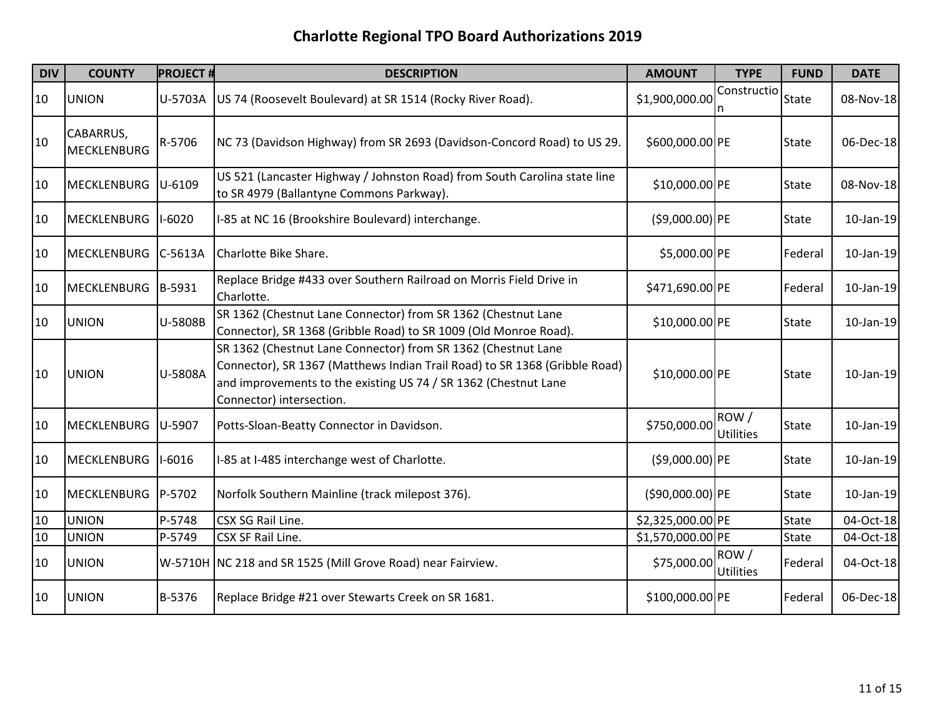| <b>DIV</b> | <b>COUNTY</b>            | <b>PROJECT#</b> | <b>DESCRIPTION</b>                                                                                                                                                                                                                         | <b>AMOUNT</b>     | <b>TYPE</b>              | <b>FUND</b>  | <b>DATE</b>  |
|------------|--------------------------|-----------------|--------------------------------------------------------------------------------------------------------------------------------------------------------------------------------------------------------------------------------------------|-------------------|--------------------------|--------------|--------------|
| 10         | <b>UNION</b>             | U-5703A         | US 74 (Roosevelt Boulevard) at SR 1514 (Rocky River Road).                                                                                                                                                                                 | \$1,900,000.00    | Constructio              | <b>State</b> | 08-Nov-18    |
| 10         | CABARRUS,<br>MECKLENBURG | R-5706          | NC 73 (Davidson Highway) from SR 2693 (Davidson-Concord Road) to US 29.                                                                                                                                                                    | \$600,000.00 PE   |                          | <b>State</b> | 06-Dec-18    |
| 10         | <b>MECKLENBURG</b>       | U-6109          | US 521 (Lancaster Highway / Johnston Road) from South Carolina state line<br>to SR 4979 (Ballantyne Commons Parkway).                                                                                                                      | \$10,000.00 PE    |                          | <b>State</b> | 08-Nov-18    |
| 10         | <b>MECKLENBURG</b>       | $1-6020$        | I-85 at NC 16 (Brookshire Boulevard) interchange.                                                                                                                                                                                          | $( $9,000.00)$ PE |                          | <b>State</b> | $10$ -Jan-19 |
| 10         | MECKLENBURG              | $C-5613A$       | Charlotte Bike Share.                                                                                                                                                                                                                      | \$5,000.00 PE     |                          | Federal      | $10$ -Jan-19 |
| 10         | <b>MECKLENBURG</b>       | B-5931          | Replace Bridge #433 over Southern Railroad on Morris Field Drive in<br>Charlotte.                                                                                                                                                          | \$471,690.00 PE   |                          | Federal      | $10$ -Jan-19 |
| 10         | <b>UNION</b>             | U-5808B         | SR 1362 (Chestnut Lane Connector) from SR 1362 (Chestnut Lane<br>Connector), SR 1368 (Gribble Road) to SR 1009 (Old Monroe Road).                                                                                                          | \$10,000.00 PE    |                          | <b>State</b> | $10$ -Jan-19 |
| 10         | <b>UNION</b>             | U-5808A         | SR 1362 (Chestnut Lane Connector) from SR 1362 (Chestnut Lane<br>Connector), SR 1367 (Matthews Indian Trail Road) to SR 1368 (Gribble Road)<br>and improvements to the existing US 74 / SR 1362 (Chestnut Lane<br>Connector) intersection. | \$10,000.00 PE    |                          | <b>State</b> | $10$ -Jan-19 |
| 10         | <b>MECKLENBURG</b>       | U-5907          | Potts-Sloan-Beatty Connector in Davidson.                                                                                                                                                                                                  | \$750,000.00      | ROW/<br><b>Utilities</b> | <b>State</b> | $10$ -Jan-19 |
| 10         | <b>MECKLENBURG</b>       | $I-6016$        | I-85 at I-485 interchange west of Charlotte.                                                                                                                                                                                               | $( $9,000.00)$ PE |                          | <b>State</b> | 10-Jan-19    |
| 10         | <b>MECKLENBURG</b>       | P-5702          | Norfolk Southern Mainline (track milepost 376).                                                                                                                                                                                            | (\$90,000.00) PE  |                          | <b>State</b> | 10-Jan-19    |
| 10         | <b>UNION</b>             | P-5748          | CSX SG Rail Line.                                                                                                                                                                                                                          | \$2,325,000.00 PE |                          | <b>State</b> | 04-Oct-18    |
| 10         | <b>UNION</b>             | P-5749          | CSX SF Rail Line.                                                                                                                                                                                                                          | \$1,570,000.00 PE |                          | State        | 04-Oct-18    |
| 10         | <b>UNION</b>             |                 | W-5710H NC 218 and SR 1525 (Mill Grove Road) near Fairview.                                                                                                                                                                                | \$75,000.00       | ROW/<br>Utilities        | Federal      | 04-Oct-18    |
| 10         | <b>UNION</b>             | B-5376          | Replace Bridge #21 over Stewarts Creek on SR 1681.                                                                                                                                                                                         | \$100,000.00 PE   |                          | Federal      | 06-Dec-18    |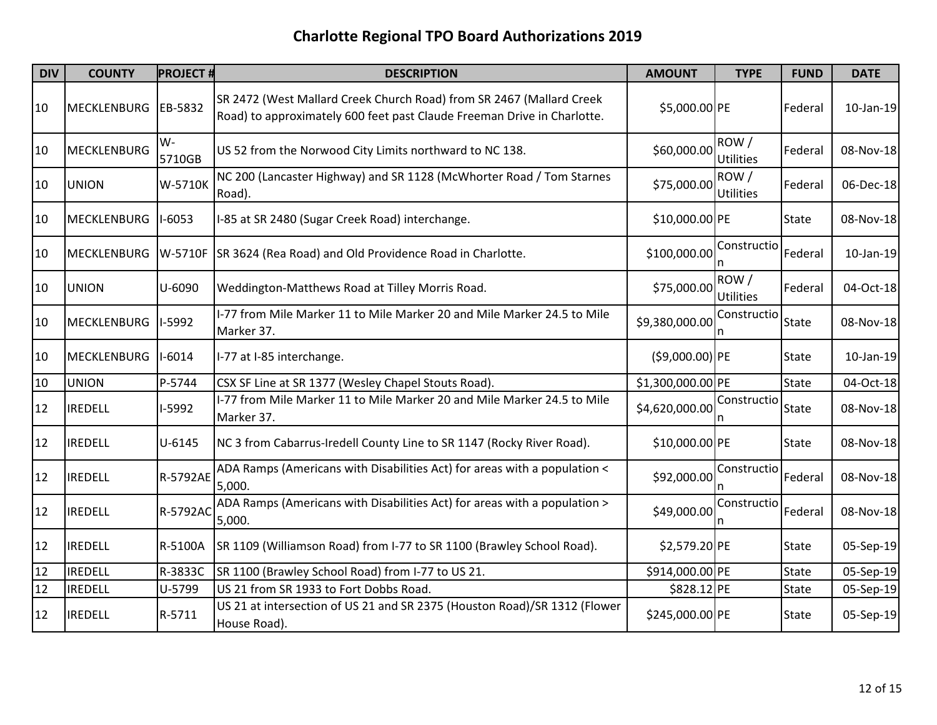| <b>DIV</b> | <b>COUNTY</b>      | <b>PROJECT#</b> | <b>DESCRIPTION</b>                                                                                                                              | <b>AMOUNT</b>     | <b>TYPE</b>              | <b>FUND</b>  | <b>DATE</b> |
|------------|--------------------|-----------------|-------------------------------------------------------------------------------------------------------------------------------------------------|-------------------|--------------------------|--------------|-------------|
| 10         | <b>MECKLENBURG</b> | EB-5832         | SR 2472 (West Mallard Creek Church Road) from SR 2467 (Mallard Creek<br>Road) to approximately 600 feet past Claude Freeman Drive in Charlotte. | \$5,000.00 PE     |                          | Federal      | 10-Jan-19   |
| 10         | MECKLENBURG        | W-<br>5710GB    | US 52 from the Norwood City Limits northward to NC 138.                                                                                         | \$60,000.00       | ROW/<br>Utilities        | Federal      | 08-Nov-18   |
| 10         | <b>UNION</b>       | W-5710K         | NC 200 (Lancaster Highway) and SR 1128 (McWhorter Road / Tom Starnes<br>Road).                                                                  | \$75,000.00       | ROW/<br><b>Utilities</b> | Federal      | 06-Dec-18   |
| 10         | <b>MECKLENBURG</b> | $I-6053$        | I-85 at SR 2480 (Sugar Creek Road) interchange.                                                                                                 | \$10,000.00 PE    |                          | <b>State</b> | 08-Nov-18   |
| 10         | <b>MECKLENBURG</b> |                 | W-5710F SR 3624 (Rea Road) and Old Providence Road in Charlotte.                                                                                | \$100,000.00      | Constructio              | Federal      | 10-Jan-19   |
| 10         | <b>UNION</b>       | U-6090          | Weddington-Matthews Road at Tilley Morris Road.                                                                                                 | \$75,000.00       | ROW/<br><b>Utilities</b> | Federal      | 04-Oct-18   |
| 10         | <b>MECKLENBURG</b> | I-5992          | I-77 from Mile Marker 11 to Mile Marker 20 and Mile Marker 24.5 to Mile<br>Marker 37.                                                           | \$9,380,000.00    | Constructio              | <b>State</b> | 08-Nov-18   |
| 10         | <b>MECKLENBURG</b> | $I-6014$        | I-77 at I-85 interchange.                                                                                                                       | $( $9,000.00)$ PE |                          | <b>State</b> | 10-Jan-19   |
| 10         | <b>UNION</b>       | P-5744          | CSX SF Line at SR 1377 (Wesley Chapel Stouts Road).                                                                                             | \$1,300,000.00 PE |                          | State        | 04-Oct-18   |
| 12         | <b>IREDELL</b>     | I-5992          | I-77 from Mile Marker 11 to Mile Marker 20 and Mile Marker 24.5 to Mile<br>Marker 37.                                                           | \$4,620,000.00    | Constructio              | <b>State</b> | 08-Nov-18   |
| 12         | <b>IREDELL</b>     | $U - 6145$      | NC 3 from Cabarrus-Iredell County Line to SR 1147 (Rocky River Road).                                                                           | \$10,000.00 PE    |                          | State        | 08-Nov-18   |
| 12         | <b>IREDELL</b>     | R-5792AE        | ADA Ramps (Americans with Disabilities Act) for areas with a population <<br>5,000.                                                             | \$92,000.00       | Constructio              | Federal      | 08-Nov-18   |
| 12         | <b>IREDELL</b>     | R-5792AC        | ADA Ramps (Americans with Disabilities Act) for areas with a population ><br>5,000.                                                             | \$49,000.00       | Constructio<br>In        | Federal      | 08-Nov-18   |
| 12         | <b>IREDELL</b>     | R-5100A         | SR 1109 (Williamson Road) from I-77 to SR 1100 (Brawley School Road).                                                                           | \$2,579.20 PE     |                          | State        | 05-Sep-19   |
| 12         | <b>IREDELL</b>     | R-3833C         | SR 1100 (Brawley School Road) from I-77 to US 21.                                                                                               | \$914,000.00 PE   |                          | <b>State</b> | 05-Sep-19   |
| 12         | <b>IREDELL</b>     | U-5799          | US 21 from SR 1933 to Fort Dobbs Road.                                                                                                          | \$828.12 PE       |                          | State        | 05-Sep-19   |
| 12         | <b>IREDELL</b>     | R-5711          | US 21 at intersection of US 21 and SR 2375 (Houston Road)/SR 1312 (Flower<br>House Road).                                                       | \$245,000.00 PE   |                          | <b>State</b> | 05-Sep-19   |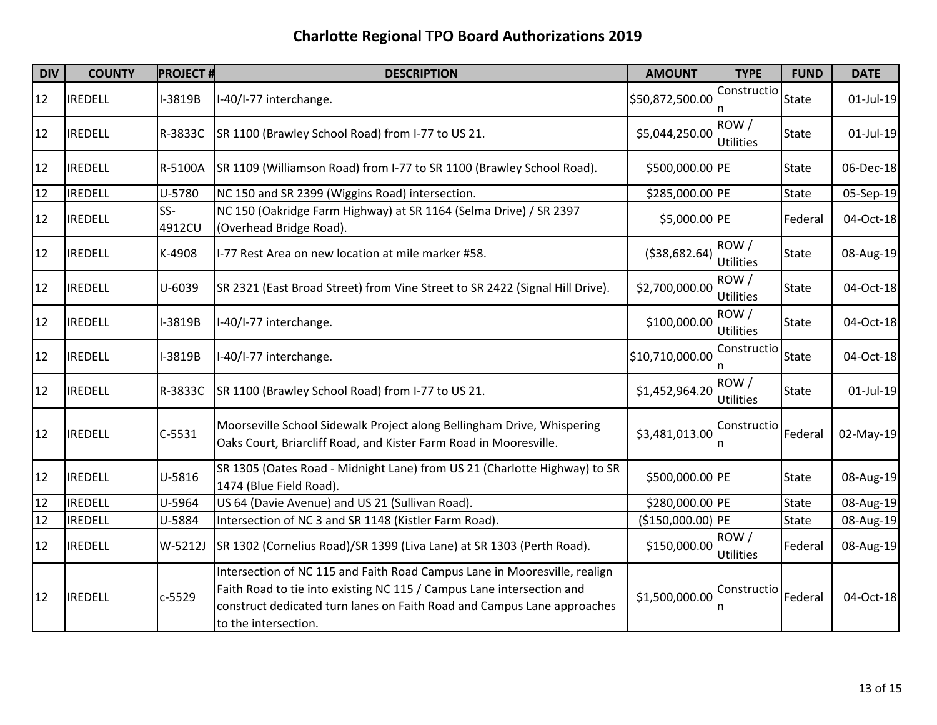| <b>DIV</b> | <b>COUNTY</b>  | <b>PROJECT#</b> | <b>DESCRIPTION</b>                                                                                                                                                                                                                                    | <b>AMOUNT</b>    | <b>TYPE</b>              | <b>FUND</b>  | <b>DATE</b>  |
|------------|----------------|-----------------|-------------------------------------------------------------------------------------------------------------------------------------------------------------------------------------------------------------------------------------------------------|------------------|--------------------------|--------------|--------------|
| 12         | <b>IREDELL</b> | I-3819B         | I-40/I-77 interchange.                                                                                                                                                                                                                                | \$50,872,500.00  | Constructio              | <b>State</b> | $01$ -Jul-19 |
| 12         | <b>IREDELL</b> | R-3833C         | SR 1100 (Brawley School Road) from I-77 to US 21.                                                                                                                                                                                                     | \$5,044,250.00   | ROW/<br><b>Utilities</b> | State        | $01$ -Jul-19 |
| 12         | <b>IREDELL</b> | R-5100A         | SR 1109 (Williamson Road) from I-77 to SR 1100 (Brawley School Road).                                                                                                                                                                                 | \$500,000.00 PE  |                          | State        | 06-Dec-18    |
| 12         | <b>IREDELL</b> | U-5780          | NC 150 and SR 2399 (Wiggins Road) intersection.                                                                                                                                                                                                       | \$285,000.00 PE  |                          | State        | 05-Sep-19    |
| 12         | <b>IREDELL</b> | SS-<br>4912CU   | NC 150 (Oakridge Farm Highway) at SR 1164 (Selma Drive) / SR 2397<br>(Overhead Bridge Road).                                                                                                                                                          | \$5,000.00 PE    |                          | Federal      | 04-Oct-18    |
| 12         | <b>IREDELL</b> | K-4908          | I-77 Rest Area on new location at mile marker #58.                                                                                                                                                                                                    | ( \$38,682.64)   | ROW/<br><b>Utilities</b> | State        | 08-Aug-19    |
| 12         | <b>IREDELL</b> | U-6039          | SR 2321 (East Broad Street) from Vine Street to SR 2422 (Signal Hill Drive).                                                                                                                                                                          | \$2,700,000.00   | ROW/<br><b>Utilities</b> | State        | 04-Oct-18    |
| 12         | <b>IREDELL</b> | I-3819B         | I-40/I-77 interchange.                                                                                                                                                                                                                                | \$100,000.00     | ROW/<br><b>Utilities</b> | State        | 04-Oct-18    |
| 12         | <b>IREDELL</b> | I-3819B         | I-40/I-77 interchange.                                                                                                                                                                                                                                | \$10,710,000.00  | Constructio              | State        | 04-Oct-18    |
| 12         | <b>IREDELL</b> | R-3833C         | SR 1100 (Brawley School Road) from I-77 to US 21.                                                                                                                                                                                                     | \$1,452,964.20   | ROW/<br><b>Utilities</b> | State        | $01$ -Jul-19 |
| 12         | <b>IREDELL</b> | $C-5531$        | Moorseville School Sidewalk Project along Bellingham Drive, Whispering<br>Oaks Court, Briarcliff Road, and Kister Farm Road in Mooresville.                                                                                                           | \$3,481,013.00   | Constructio              | Federal      | 02-May-19    |
| 12         | <b>IREDELL</b> | U-5816          | SR 1305 (Oates Road - Midnight Lane) from US 21 (Charlotte Highway) to SR<br>1474 (Blue Field Road).                                                                                                                                                  | \$500,000.00 PE  |                          | State        | 08-Aug-19    |
| 12         | <b>IREDELL</b> | U-5964          | US 64 (Davie Avenue) and US 21 (Sullivan Road).                                                                                                                                                                                                       | \$280,000.00 PE  |                          | State        | 08-Aug-19    |
| 12         | <b>IREDELL</b> | U-5884          | Intersection of NC 3 and SR 1148 (Kistler Farm Road).                                                                                                                                                                                                 | (\$150,000.00)PE |                          | State        | 08-Aug-19    |
| 12         | <b>IREDELL</b> | W-5212J         | SR 1302 (Cornelius Road)/SR 1399 (Liva Lane) at SR 1303 (Perth Road).                                                                                                                                                                                 | \$150,000.00     | ROW/<br><b>Utilities</b> | Federal      | 08-Aug-19    |
| 12         | <b>IREDELL</b> | $c - 5529$      | Intersection of NC 115 and Faith Road Campus Lane in Mooresville, realign<br>Faith Road to tie into existing NC 115 / Campus Lane intersection and<br>construct dedicated turn lanes on Faith Road and Campus Lane approaches<br>to the intersection. | \$1,500,000.00   | Constructio              | Federal      | 04-Oct-18    |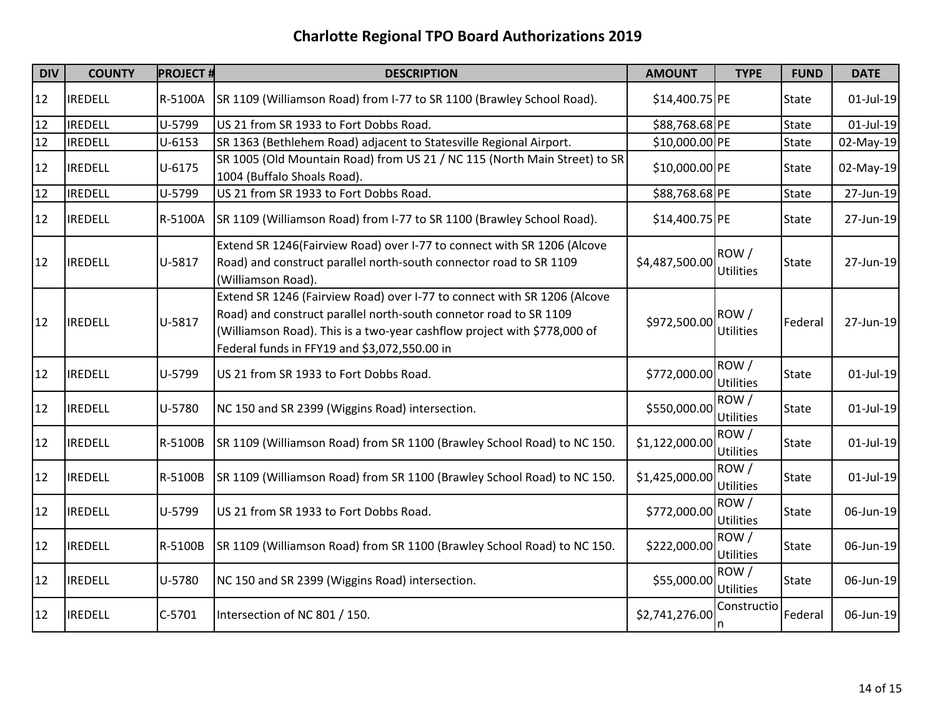| <b>DIV</b> | <b>COUNTY</b>  | <b>PROJECT#</b> | <b>DESCRIPTION</b>                                                                                                                                                                                                                                                        | <b>AMOUNT</b>  | <b>TYPE</b>              | <b>FUND</b>  | <b>DATE</b>  |
|------------|----------------|-----------------|---------------------------------------------------------------------------------------------------------------------------------------------------------------------------------------------------------------------------------------------------------------------------|----------------|--------------------------|--------------|--------------|
| 12         | <b>IREDELL</b> | R-5100A         | SR 1109 (Williamson Road) from I-77 to SR 1100 (Brawley School Road).                                                                                                                                                                                                     | \$14,400.75 PE |                          | <b>State</b> | $01$ -Jul-19 |
| 12         | <b>IREDELL</b> | U-5799          | US 21 from SR 1933 to Fort Dobbs Road.                                                                                                                                                                                                                                    | \$88,768.68 PE |                          | <b>State</b> | 01-Jul-19    |
| 12         | <b>IREDELL</b> | $U - 6153$      | SR 1363 (Bethlehem Road) adjacent to Statesville Regional Airport.                                                                                                                                                                                                        | \$10,000.00 PE |                          | <b>State</b> | 02-May-19    |
| 12         | <b>IREDELL</b> | $U - 6175$      | SR 1005 (Old Mountain Road) from US 21 / NC 115 (North Main Street) to SR<br>1004 (Buffalo Shoals Road).                                                                                                                                                                  | \$10,000.00 PE |                          | <b>State</b> | 02-May-19    |
| 12         | <b>IREDELL</b> | U-5799          | US 21 from SR 1933 to Fort Dobbs Road.                                                                                                                                                                                                                                    | \$88,768.68 PE |                          | <b>State</b> | 27-Jun-19    |
| 12         | <b>IREDELL</b> | R-5100A         | SR 1109 (Williamson Road) from I-77 to SR 1100 (Brawley School Road).                                                                                                                                                                                                     | \$14,400.75 PE |                          | <b>State</b> | 27-Jun-19    |
| 12         | <b>IREDELL</b> | U-5817          | Extend SR 1246(Fairview Road) over I-77 to connect with SR 1206 (Alcove<br>Road) and construct parallel north-south connector road to SR 1109<br>(Williamson Road).                                                                                                       | \$4,487,500.00 | ROW/<br><b>Utilities</b> | <b>State</b> | 27-Jun-19    |
| 12         | <b>IREDELL</b> | U-5817          | Extend SR 1246 (Fairview Road) over I-77 to connect with SR 1206 (Alcove<br>Road) and construct parallel north-south connetor road to SR 1109<br>(Williamson Road). This is a two-year cashflow project with \$778,000 of<br>Federal funds in FFY19 and \$3,072,550.00 in | \$972,500.00   | ROW/<br><b>Utilities</b> | Federal      | 27-Jun-19    |
| 12         | <b>IREDELL</b> | U-5799          | US 21 from SR 1933 to Fort Dobbs Road.                                                                                                                                                                                                                                    | \$772,000.00   | ROW/<br><b>Utilities</b> | <b>State</b> | $01$ -Jul-19 |
| 12         | <b>IREDELL</b> | U-5780          | NC 150 and SR 2399 (Wiggins Road) intersection.                                                                                                                                                                                                                           | \$550,000.00   | ROW/<br><b>Utilities</b> | <b>State</b> | $01$ -Jul-19 |
| 12         | <b>IREDELL</b> | R-5100B         | SR 1109 (Williamson Road) from SR 1100 (Brawley School Road) to NC 150.                                                                                                                                                                                                   | \$1,122,000.00 | ROW/<br><b>Utilities</b> | <b>State</b> | 01-Jul-19    |
| 12         | <b>IREDELL</b> | R-5100B         | SR 1109 (Williamson Road) from SR 1100 (Brawley School Road) to NC 150.                                                                                                                                                                                                   | \$1,425,000.00 | ROW/<br><b>Utilities</b> | <b>State</b> | $01$ -Jul-19 |
| 12         | <b>IREDELL</b> | U-5799          | US 21 from SR 1933 to Fort Dobbs Road.                                                                                                                                                                                                                                    | \$772,000.00   | ROW/<br><b>Utilities</b> | <b>State</b> | 06-Jun-19    |
| 12         | <b>IREDELL</b> | R-5100B         | SR 1109 (Williamson Road) from SR 1100 (Brawley School Road) to NC 150.                                                                                                                                                                                                   | \$222,000.00   | ROW/<br><b>Utilities</b> | <b>State</b> | 06-Jun-19    |
| 12         | <b>IREDELL</b> | U-5780          | NC 150 and SR 2399 (Wiggins Road) intersection.                                                                                                                                                                                                                           | \$55,000.00    | ROW/<br>Utilities        | <b>State</b> | 06-Jun-19    |
| 12         | <b>IREDELL</b> | $C-5701$        | Intersection of NC 801 / 150.                                                                                                                                                                                                                                             | \$2,741,276.00 | Constructio              | Federal      | 06-Jun-19    |